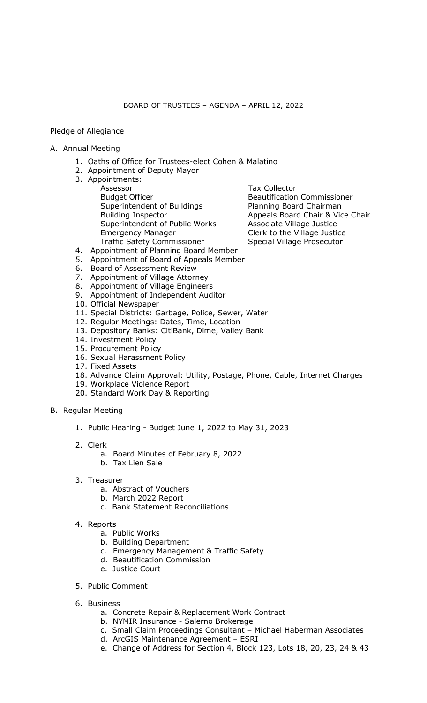## Pledge of Allegiance

- A. Annual Meeting
	- 1. Oaths of Office for Trustees-elect Cohen & Malatino
	- 2. Appointment of Deputy Mayor
	- 3. Appointments: Assessor Budget Officer Superintendent of Buildings Building Inspector Superintendent of Public Works Emergency Manager Traffic Safety Commissioner

Tax Collector Beautification Commissioner Planning Board Chairman Appeals Board Chair & Vice Chair Associate Village Justice Clerk to the Village Justice Special Village Prosecutor

- 4. Appointment of Planning Board Member
- 5. Appointment of Board of Appeals Member
- 6. Board of Assessment Review
- 7. Appointment of Village Attorney
- 8. Appointment of Village Engineers
- 9. Appointment of Independent Auditor
- 10. Official Newspaper
- 11. Special Districts: Garbage, Police, Sewer, Water
- 12. Regular Meetings: Dates, Time, Location
- 13. Depository Banks: CitiBank, Dime, Valley Bank
- 14. Investment Policy
- 15. Procurement Policy
- 16. Sexual Harassment Policy
- 17. Fixed Assets
- 18. Advance Claim Approval: Utility, Postage, Phone, Cable, Internet Charges
- 19. Workplace Violence Report
- 20. Standard Work Day & Reporting
- B. Regular Meeting
	- 1. Public Hearing Budget June 1, 2022 to May 31, 2023
	- 2. Clerk
		- a. Board Minutes of February 8, 2022
		- b. Tax Lien Sale
	- 3. Treasurer
		- a. Abstract of Vouchers
		- b. March 2022 Report
		- c. Bank Statement Reconciliations
	- 4. Reports
		- a. Public Works
		- b. Building Department
		- c. Emergency Management & Traffic Safety
		- d. Beautification Commission
		- e. Justice Court
	- 5. Public Comment
	- 6. Business
		- a. Concrete Repair & Replacement Work Contract
		- b. NYMIR Insurance Salerno Brokerage
		- c. Small Claim Proceedings Consultant Michael Haberman Associates
		- d. ArcGIS Maintenance Agreement ESRI
		- e. Change of Address for Section 4, Block 123, Lots 18, 20, 23, 24 & 43